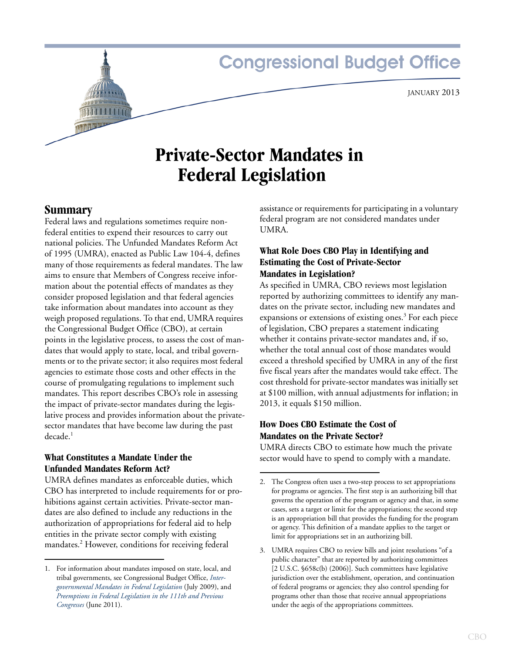# **Congressional Budget Office**

# **Private-Sector Mandates in Federal Legislation**

**Summary** 

Federal laws and regulations sometimes require nonfederal entities to expend their resources to carry out national policies. The Unfunded Mandates Reform Act of 1995 (UMRA), enacted as Public Law 104-4, defines many of those requirements as federal mandates. The law aims to ensure that Members of Congress receive information about the potential effects of mandates as they consider proposed legislation and that federal agencies take information about mandates into account as they weigh proposed regulations. To that end, UMRA requires the Congressional Budget Office (CBO), at certain points in the legislative process, to assess the cost of mandates that would apply to state, local, and tribal governments or to the private sector; it also requires most federal agencies to estimate those costs and other effects in the course of promulgating regulations to implement such mandates. This report describes CBO's role in assessing the impact of private-sector mandates during the legislative process and provides information about the privatesector mandates that have become law during the past  $decade<sup>1</sup>$ 

## **What Constitutes a Mandate Under the Unfunded Mandates Reform Act?**

UMRA defines mandates as enforceable duties, which CBO has interpreted to include requirements for or prohibitions against certain activities. Private-sector mandates are also defined to include any reductions in the authorization of appropriations for federal aid to help entities in the private sector comply with existing mandates.<sup>2</sup> However, conditions for receiving federal

assistance or requirements for participating in a voluntary federal program are not considered mandates under UMRA.

## **What Role Does CBO Play in Identifying and Estimating the Cost of Private-Sector Mandates in Legislation?**

As specified in UMRA, CBO reviews most legislation reported by authorizing committees to identify any mandates on the private sector, including new mandates and expansions or extensions of existing ones.<sup>3</sup> For each piece of legislation, CBO prepares a statement indicating whether it contains private-sector mandates and, if so, whether the total annual cost of those mandates would exceed a threshold specified by UMRA in any of the first five fiscal years after the mandates would take effect. The cost threshold for private-sector mandates was initially set at \$100 million, with annual adjustments for inflation; in 2013, it equals \$150 million.

## **How Does CBO Estimate the Cost of Mandates on the Private Sector?**

UMRA directs CBO to estimate how much the private sector would have to spend to comply with a mandate.

<sup>1.</sup> For information about mandates imposed on state, local, and tribal governments, see Congressional Budget Office, *[Inter](http://www.cbo.gov/publication/20919)[governmental Mandates in Federal Legislation](http://www.cbo.gov/publication/20919)* (July 2009), and *[Preemptions in Federal Legislation in the 111th and Previous](http://www.cbo.gov/publication/41462)  [Congresses](http://www.cbo.gov/publication/41462)* (June 2011).

<sup>2.</sup> The Congress often uses a two-step process to set appropriations for programs or agencies. The first step is an authorizing bill that governs the operation of the program or agency and that, in some cases, sets a target or limit for the appropriations; the second step is an appropriation bill that provides the funding for the program or agency. This definition of a mandate applies to the target or limit for appropriations set in an authorizing bill.

<sup>3.</sup> UMRA requires CBO to review bills and joint resolutions "of a public character" that are reported by authorizing committees [2 U.S.C. §658c(b) (2006)]. Such committees have legislative jurisdiction over the establishment, operation, and continuation of federal programs or agencies; they also control spending for programs other than those that receive annual appropriations under the aegis of the appropriations committees.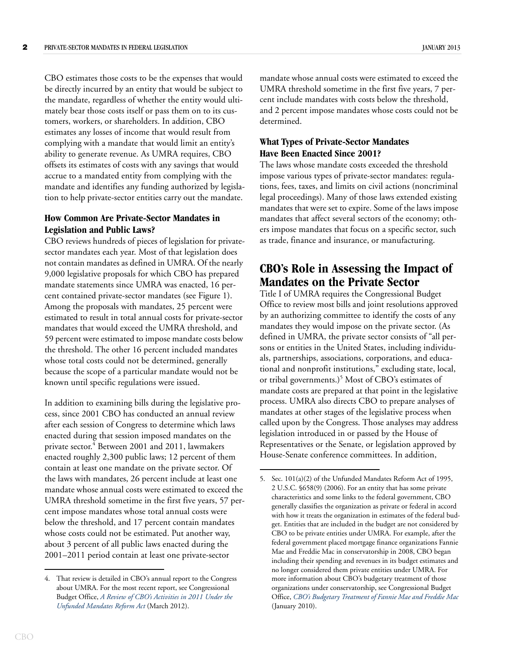CBO estimates those costs to be the expenses that would be directly incurred by an entity that would be subject to the mandate, regardless of whether the entity would ultimately bear those costs itself or pass them on to its customers, workers, or shareholders. In addition, CBO estimates any losses of income that would result from complying with a mandate that would limit an entity's ability to generate revenue. As UMRA requires, CBO offsets its estimates of costs with any savings that would accrue to a mandated entity from complying with the mandate and identifies any funding authorized by legislation to help private-sector entities carry out the mandate.

#### **How Common Are Private-Sector Mandates in Legislation and Public Laws?**

CBO reviews hundreds of pieces of legislation for privatesector mandates each year. Most of that legislation does not contain mandates as defined in UMRA. Of the nearly 9,000 legislative proposals for which CBO has prepared mandate statements since UMRA was enacted, 16 percent contained private-sector mandates (see [Figure 1](#page-2-0)). Among the proposals with mandates, 25 percent were estimated to result in total annual costs for private-sector mandates that would exceed the UMRA threshold, and 59 percent were estimated to impose mandate costs below the threshold. The other 16 percent included mandates whose total costs could not be determined, generally because the scope of a particular mandate would not be known until specific regulations were issued.

In addition to examining bills during the legislative process, since 2001 CBO has conducted an annual review after each session of Congress to determine which laws enacted during that session imposed mandates on the private sector.<sup>4</sup> Between 2001 and 2011, lawmakers enacted roughly 2,300 public laws; 12 percent of them contain at least one mandate on the private sector. Of the laws with mandates, 26 percent include at least one mandate whose annual costs were estimated to exceed the UMRA threshold sometime in the first five years, 57 percent impose mandates whose total annual costs were below the threshold, and 17 percent contain mandates whose costs could not be estimated. Put another way, about 3 percent of all public laws enacted during the 2001–2011 period contain at least one private-sector

mandate whose annual costs were estimated to exceed the UMRA threshold sometime in the first five years, 7 percent include mandates with costs below the threshold, and 2 percent impose mandates whose costs could not be determined.

## **What Types of Private-Sector Mandates Have Been Enacted Since 2001?**

The laws whose mandate costs exceeded the threshold impose various types of private-sector mandates: regulations, fees, taxes, and limits on civil actions (noncriminal legal proceedings). Many of those laws extended existing mandates that were set to expire. Some of the laws impose mandates that affect several sectors of the economy; others impose mandates that focus on a specific sector, such as trade, finance and insurance, or manufacturing.

## **CBO's Role in Assessing the Impact of Mandates on the Private Sector**

Title I of UMRA requires the Congressional Budget Office to review most bills and joint resolutions approved by an authorizing committee to identify the costs of any mandates they would impose on the private sector. (As defined in UMRA, the private sector consists of "all persons or entities in the United States, including individuals, partnerships, associations, corporations, and educational and nonprofit institutions," excluding state, local, or tribal governments.)<sup>5</sup> Most of CBO's estimates of mandate costs are prepared at that point in the legislative process. UMRA also directs CBO to prepare analyses of mandates at other stages of the legislative process when called upon by the Congress. Those analyses may address legislation introduced in or passed by the House of Representatives or the Senate, or legislation approved by House-Senate conference committees. In addition,

<sup>4.</sup> That review is detailed in CBO's annual report to the Congress about UMRA. For the most recent report, see Congressional Budget Office, *[A Review of CBO's Activities in 2011 Under the](http://www.cbo.gov/publication/43140)  [Unfunded Mandates Reform Act](http://www.cbo.gov/publication/43140)* (March 2012).

<sup>5.</sup> Sec. 101(a)(2) of the Unfunded Mandates Reform Act of 1995, 2 U.S.C. §658(9) (2006). For an entity that has some private characteristics and some links to the federal government, CBO generally classifies the organization as private or federal in accord with how it treats the organization in estimates of the federal budget. Entities that are included in the budget are not considered by CBO to be private entities under UMRA. For example, after the federal government placed mortgage finance organizations Fannie Mae and Freddie Mac in conservatorship in 2008, CBO began including their spending and revenues in its budget estimates and no longer considered them private entities under UMRA. For more information about CBO's budgetary treatment of those organizations under conservatorship, see Congressional Budget Office, *[CBO's Budgetary Treatment of Fannie Mae and Freddie Mac](http://www.cbo.gov/publication/41887)* (January 2010).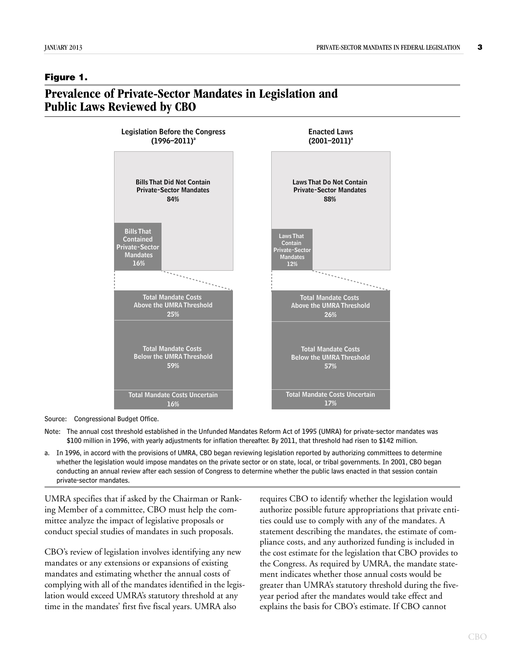### <span id="page-2-0"></span>**Figure 1.**

## **Prevalence of Private-Sector Mandates in Legislation and Public Laws Reviewed by CBO**



Source: Congressional Budget Office.

Note: The annual cost threshold established in the Unfunded Mandates Reform Act of 1995 (UMRA) for private-sector mandates was \$100 million in 1996, with yearly adjustments for inflation thereafter. By 2011, that threshold had risen to \$142 million.

a. In 1996, in accord with the provisions of UMRA, CBO began reviewing legislation reported by authorizing committees to determine whether the legislation would impose mandates on the private sector or on state, local, or tribal governments. In 2001, CBO began conducting an annual review after each session of Congress to determine whether the public laws enacted in that session contain private-sector mandates.

UMRA specifies that if asked by the Chairman or Ranking Member of a committee, CBO must help the committee analyze the impact of legislative proposals or conduct special studies of mandates in such proposals.

CBO's review of legislation involves identifying any new mandates or any extensions or expansions of existing mandates and estimating whether the annual costs of complying with all of the mandates identified in the legislation would exceed UMRA's statutory threshold at any time in the mandates' first five fiscal years. UMRA also

requires CBO to identify whether the legislation would authorize possible future appropriations that private entities could use to comply with any of the mandates. A statement describing the mandates, the estimate of compliance costs, and any authorized funding is included in the cost estimate for the legislation that CBO provides to the Congress. As required by UMRA, the mandate statement indicates whether those annual costs would be greater than UMRA's statutory threshold during the fiveyear period after the mandates would take effect and explains the basis for CBO's estimate. If CBO cannot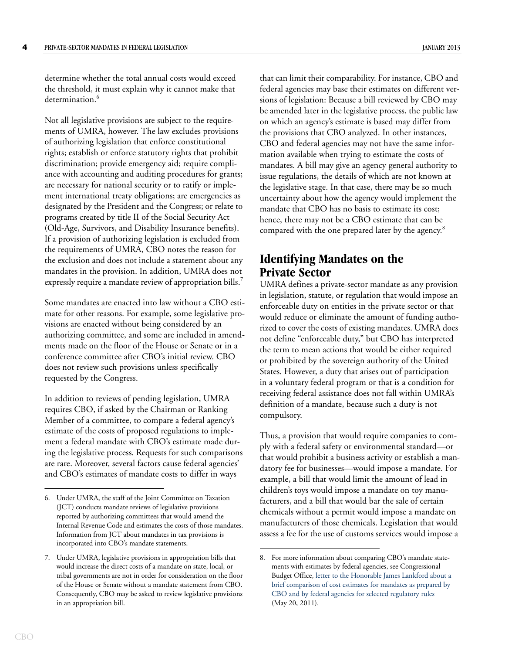determine whether the total annual costs would exceed the threshold, it must explain why it cannot make that determination.<sup>6</sup>

Not all legislative provisions are subject to the requirements of UMRA, however. The law excludes provisions of authorizing legislation that enforce constitutional rights; establish or enforce statutory rights that prohibit discrimination; provide emergency aid; require compliance with accounting and auditing procedures for grants; are necessary for national security or to ratify or implement international treaty obligations; are emergencies as designated by the President and the Congress; or relate to programs created by title II of the Social Security Act (Old-Age, Survivors, and Disability Insurance benefits). If a provision of authorizing legislation is excluded from the requirements of UMRA, CBO notes the reason for the exclusion and does not include a statement about any mandates in the provision. In addition, UMRA does not expressly require a mandate review of appropriation bills.<sup>7</sup>

Some mandates are enacted into law without a CBO estimate for other reasons. For example, some legislative provisions are enacted without being considered by an authorizing committee, and some are included in amendments made on the floor of the House or Senate or in a conference committee after CBO's initial review. CBO does not review such provisions unless specifically requested by the Congress.

In addition to reviews of pending legislation, UMRA requires CBO, if asked by the Chairman or Ranking Member of a committee, to compare a federal agency's estimate of the costs of proposed regulations to implement a federal mandate with CBO's estimate made during the legislative process. Requests for such comparisons are rare. Moreover, several factors cause federal agencies' and CBO's estimates of mandate costs to differ in ways

that can limit their comparability. For instance, CBO and federal agencies may base their estimates on different versions of legislation: Because a bill reviewed by CBO may be amended later in the legislative process, the public law on which an agency's estimate is based may differ from the provisions that CBO analyzed. In other instances, CBO and federal agencies may not have the same information available when trying to estimate the costs of mandates. A bill may give an agency general authority to issue regulations, the details of which are not known at the legislative stage. In that case, there may be so much uncertainty about how the agency would implement the mandate that CBO has no basis to estimate its cost; hence, there may not be a CBO estimate that can be compared with the one prepared later by the agency.<sup>8</sup>

# **Identifying Mandates on the Private Sector**

UMRA defines a private-sector mandate as any provision in legislation, statute, or regulation that would impose an enforceable duty on entities in the private sector or that would reduce or eliminate the amount of funding authorized to cover the costs of existing mandates. UMRA does not define "enforceable duty," but CBO has interpreted the term to mean actions that would be either required or prohibited by the sovereign authority of the United States. However, a duty that arises out of participation in a voluntary federal program or that is a condition for receiving federal assistance does not fall within UMRA's definition of a mandate, because such a duty is not compulsory.

Thus, a provision that would require companies to comply with a federal safety or environmental standard—or that would prohibit a business activity or establish a mandatory fee for businesses—would impose a mandate. For example, a bill that would limit the amount of lead in children's toys would impose a mandate on toy manufacturers, and a bill that would bar the sale of certain chemicals without a permit would impose a mandate on manufacturers of those chemicals. Legislation that would assess a fee for the use of customs services would impose a

<sup>6.</sup> Under UMRA, the staff of the Joint Committee on Taxation (JCT) conducts mandate reviews of legislative provisions reported by authorizing committees that would amend the Internal Revenue Code and estimates the costs of those mandates. Information from JCT about mandates in tax provisions is incorporated into CBO's mandate statements.

<sup>7.</sup> Under UMRA, legislative provisions in appropriation bills that would increase the direct costs of a mandate on state, local, or tribal governments are not in order for consideration on the floor of the House or Senate without a mandate statement from CBO. Consequently, CBO may be asked to review legislative provisions in an appropriation bill.

<sup>8.</sup> For more information about comparing CBO's mandate statements with estimates by federal agencies, see Congressional Budget Office, [letter to the Honorable James Lankford about a](http://www.cbo.gov/publication/41475)  [brief comparison of cost estimates for mandates as prepared by](http://www.cbo.gov/publication/41475)  [CBO and by federal agencies for selected regulatory rules](http://www.cbo.gov/publication/41475) (May 20, 2011).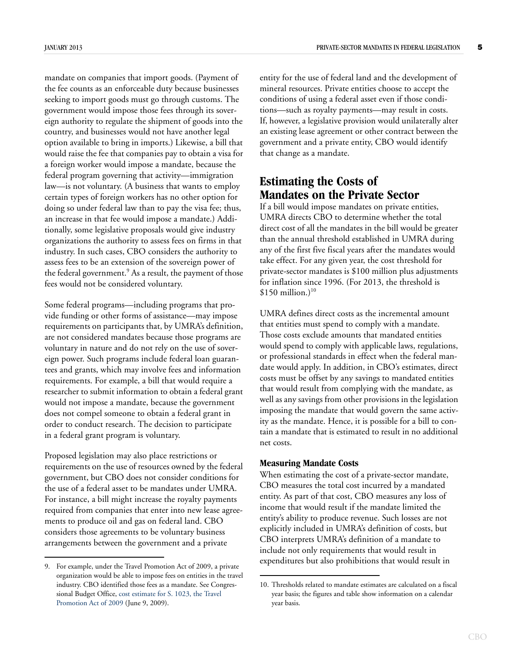mandate on companies that import goods. (Payment of the fee counts as an enforceable duty because businesses seeking to import goods must go through customs. The government would impose those fees through its sovereign authority to regulate the shipment of goods into the country, and businesses would not have another legal option available to bring in imports.) Likewise, a bill that would raise the fee that companies pay to obtain a visa for a foreign worker would impose a mandate, because the federal program governing that activity—immigration law—is not voluntary. (A business that wants to employ certain types of foreign workers has no other option for doing so under federal law than to pay the visa fee; thus, an increase in that fee would impose a mandate.) Additionally, some legislative proposals would give industry organizations the authority to assess fees on firms in that industry. In such cases, CBO considers the authority to assess fees to be an extension of the sovereign power of the federal government.<sup>9</sup> As a result, the payment of those fees would not be considered voluntary.

Some federal programs—including programs that provide funding or other forms of assistance—may impose requirements on participants that, by UMRA's definition, are not considered mandates because those programs are voluntary in nature and do not rely on the use of sovereign power. Such programs include federal loan guarantees and grants, which may involve fees and information requirements. For example, a bill that would require a researcher to submit information to obtain a federal grant would not impose a mandate, because the government does not compel someone to obtain a federal grant in order to conduct research. The decision to participate in a federal grant program is voluntary.

Proposed legislation may also place restrictions or requirements on the use of resources owned by the federal government, but CBO does not consider conditions for the use of a federal asset to be mandates under UMRA. For instance, a bill might increase the royalty payments required from companies that enter into new lease agreements to produce oil and gas on federal land. CBO considers those agreements to be voluntary business arrangements between the government and a private

entity for the use of federal land and the development of mineral resources. Private entities choose to accept the conditions of using a federal asset even if those conditions—such as royalty payments—may result in costs. If, however, a legislative provision would unilaterally alter an existing lease agreement or other contract between the government and a private entity, CBO would identify that change as a mandate.

## **Estimating the Costs of Mandates on the Private Sector**

If a bill would impose mandates on private entities, UMRA directs CBO to determine whether the total direct cost of all the mandates in the bill would be greater than the annual threshold established in UMRA during any of the first five fiscal years after the mandates would take effect. For any given year, the cost threshold for private-sector mandates is \$100 million plus adjustments for inflation since 1996. (For 2013, the threshold is  $$150$  million.)<sup>10</sup>

UMRA defines direct costs as the incremental amount that entities must spend to comply with a mandate. Those costs exclude amounts that mandated entities would spend to comply with applicable laws, regulations, or professional standards in effect when the federal mandate would apply. In addition, in CBO's estimates, direct costs must be offset by any savings to mandated entities that would result from complying with the mandate, as well as any savings from other provisions in the legislation imposing the mandate that would govern the same activity as the mandate. Hence, it is possible for a bill to contain a mandate that is estimated to result in no additional net costs.

#### **Measuring Mandate Costs**

When estimating the cost of a private-sector mandate, CBO measures the total cost incurred by a mandated entity. As part of that cost, CBO measures any loss of income that would result if the mandate limited the entity's ability to produce revenue. Such losses are not explicitly included in UMRA's definition of costs, but CBO interprets UMRA's definition of a mandate to include not only requirements that would result in expenditures but also prohibitions that would result in 9. For example, under the Travel Promotion Act of 2009, a private

organization would be able to impose fees on entities in the travel industry. CBO identified those fees as a mandate. See Congressional Budget Office, [cost estimate for S. 1023, the Travel](http://www.cbo.gov/publication/20772)  [Promotion Act of 2009](http://www.cbo.gov/publication/20772) (June 9, 2009).

<sup>10.</sup> Thresholds related to mandate estimates are calculated on a fiscal year basis; the figures and table show information on a calendar year basis.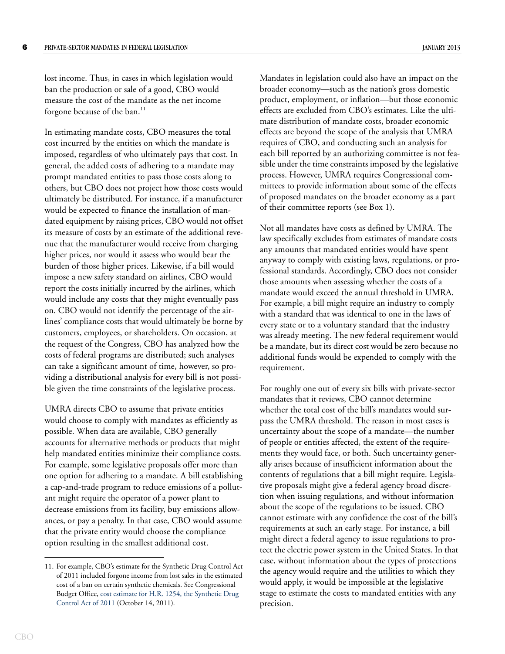lost income. Thus, in cases in which legislation would ban the production or sale of a good, CBO would measure the cost of the mandate as the net income forgone because of the ban. $^{11}$ 

In estimating mandate costs, CBO measures the total cost incurred by the entities on which the mandate is imposed, regardless of who ultimately pays that cost. In general, the added costs of adhering to a mandate may prompt mandated entities to pass those costs along to others, but CBO does not project how those costs would ultimately be distributed. For instance, if a manufacturer would be expected to finance the installation of mandated equipment by raising prices, CBO would not offset its measure of costs by an estimate of the additional revenue that the manufacturer would receive from charging higher prices, nor would it assess who would bear the burden of those higher prices. Likewise, if a bill would impose a new safety standard on airlines, CBO would report the costs initially incurred by the airlines, which would include any costs that they might eventually pass on. CBO would not identify the percentage of the airlines' compliance costs that would ultimately be borne by customers, employees, or shareholders. On occasion, at the request of the Congress, CBO has analyzed how the costs of federal programs are distributed; such analyses can take a significant amount of time, however, so providing a distributional analysis for every bill is not possible given the time constraints of the legislative process.

UMRA directs CBO to assume that private entities would choose to comply with mandates as efficiently as possible. When data are available, CBO generally accounts for alternative methods or products that might help mandated entities minimize their compliance costs. For example, some legislative proposals offer more than one option for adhering to a mandate. A bill establishing a cap-and-trade program to reduce emissions of a pollutant might require the operator of a power plant to decrease emissions from its facility, buy emissions allowances, or pay a penalty. In that case, CBO would assume that the private entity would choose the compliance option resulting in the smallest additional cost.

Mandates in legislation could also have an impact on the broader economy—such as the nation's gross domestic product, employment, or inflation—but those economic effects are excluded from CBO's estimates. Like the ultimate distribution of mandate costs, broader economic effects are beyond the scope of the analysis that UMRA requires of CBO, and conducting such an analysis for each bill reported by an authorizing committee is not feasible under the time constraints imposed by the legislative process. However, UMRA requires Congressional committees to provide information about some of the effects of proposed mandates on the broader economy as a part of their committee reports (see [Box 1\)](#page-6-0).

Not all mandates have costs as defined by UMRA. The law specifically excludes from estimates of mandate costs any amounts that mandated entities would have spent anyway to comply with existing laws, regulations, or professional standards. Accordingly, CBO does not consider those amounts when assessing whether the costs of a mandate would exceed the annual threshold in UMRA. For example, a bill might require an industry to comply with a standard that was identical to one in the laws of every state or to a voluntary standard that the industry was already meeting. The new federal requirement would be a mandate, but its direct cost would be zero because no additional funds would be expended to comply with the requirement.

For roughly one out of every six bills with private-sector mandates that it reviews, CBO cannot determine whether the total cost of the bill's mandates would surpass the UMRA threshold. The reason in most cases is uncertainty about the scope of a mandate—the number of people or entities affected, the extent of the requirements they would face, or both. Such uncertainty generally arises because of insufficient information about the contents of regulations that a bill might require. Legislative proposals might give a federal agency broad discretion when issuing regulations, and without information about the scope of the regulations to be issued, CBO cannot estimate with any confidence the cost of the bill's requirements at such an early stage. For instance, a bill might direct a federal agency to issue regulations to protect the electric power system in the United States. In that case, without information about the types of protections the agency would require and the utilities to which they would apply, it would be impossible at the legislative stage to estimate the costs to mandated entities with any precision.

<sup>11.</sup> For example, CBO's estimate for the Synthetic Drug Control Act of 2011 included forgone income from lost sales in the estimated cost of a ban on certain synthetic chemicals. See Congressional Budget Office, [cost estimate for H.R. 1254, the Synthetic Drug](http://www.cbo.gov/publication/42652)  [Control Act of 2011](http://www.cbo.gov/publication/42652) (October 14, 2011).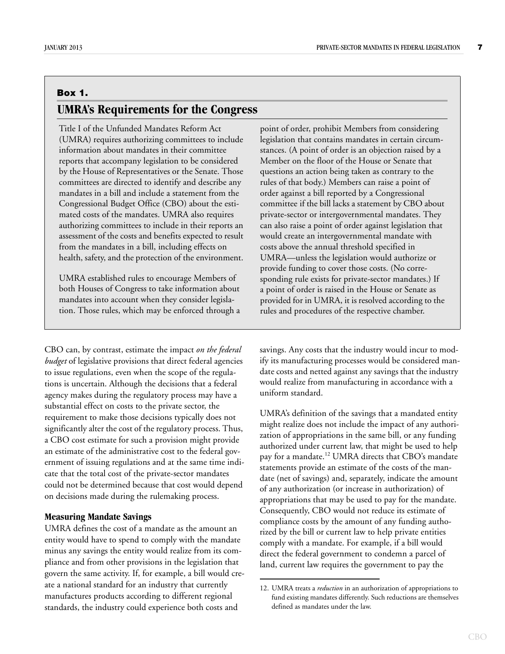# <span id="page-6-0"></span>**Box 1. UMRA's Requirements for the Congress**

Title I of the Unfunded Mandates Reform Act (UMRA) requires authorizing committees to include information about mandates in their committee reports that accompany legislation to be considered by the House of Representatives or the Senate. Those committees are directed to identify and describe any mandates in a bill and include a statement from the Congressional Budget Office (CBO) about the estimated costs of the mandates. UMRA also requires authorizing committees to include in their reports an assessment of the costs and benefits expected to result from the mandates in a bill, including effects on health, safety, and the protection of the environment.

UMRA established rules to encourage Members of both Houses of Congress to take information about mandates into account when they consider legislation. Those rules, which may be enforced through a

CBO can, by contrast, estimate the impact *on the federal budget* of legislative provisions that direct federal agencies to issue regulations, even when the scope of the regulations is uncertain. Although the decisions that a federal agency makes during the regulatory process may have a substantial effect on costs to the private sector, the requirement to make those decisions typically does not significantly alter the cost of the regulatory process. Thus, a CBO cost estimate for such a provision might provide an estimate of the administrative cost to the federal government of issuing regulations and at the same time indicate that the total cost of the private-sector mandates could not be determined because that cost would depend on decisions made during the rulemaking process.

#### **Measuring Mandate Savings**

UMRA defines the cost of a mandate as the amount an entity would have to spend to comply with the mandate minus any savings the entity would realize from its compliance and from other provisions in the legislation that govern the same activity. If, for example, a bill would create a national standard for an industry that currently manufactures products according to different regional standards, the industry could experience both costs and

point of order, prohibit Members from considering legislation that contains mandates in certain circumstances. (A point of order is an objection raised by a Member on the floor of the House or Senate that questions an action being taken as contrary to the rules of that body.) Members can raise a point of order against a bill reported by a Congressional committee if the bill lacks a statement by CBO about private-sector or intergovernmental mandates. They can also raise a point of order against legislation that would create an intergovernmental mandate with costs above the annual threshold specified in UMRA—unless the legislation would authorize or provide funding to cover those costs. (No corresponding rule exists for private-sector mandates.) If a point of order is raised in the House or Senate as provided for in UMRA, it is resolved according to the rules and procedures of the respective chamber.

savings. Any costs that the industry would incur to modify its manufacturing processes would be considered mandate costs and netted against any savings that the industry would realize from manufacturing in accordance with a uniform standard.

UMRA's definition of the savings that a mandated entity might realize does not include the impact of any authorization of appropriations in the same bill, or any funding authorized under current law, that might be used to help pay for a mandate.<sup>12</sup> UMRA directs that CBO's mandate statements provide an estimate of the costs of the mandate (net of savings) and, separately, indicate the amount of any authorization (or increase in authorization) of appropriations that may be used to pay for the mandate. Consequently, CBO would not reduce its estimate of compliance costs by the amount of any funding authorized by the bill or current law to help private entities comply with a mandate. For example, if a bill would direct the federal government to condemn a parcel of land, current law requires the government to pay the

<sup>12.</sup> UMRA treats a *reduction* in an authorization of appropriations to fund existing mandates differently. Such reductions are themselves defined as mandates under the law.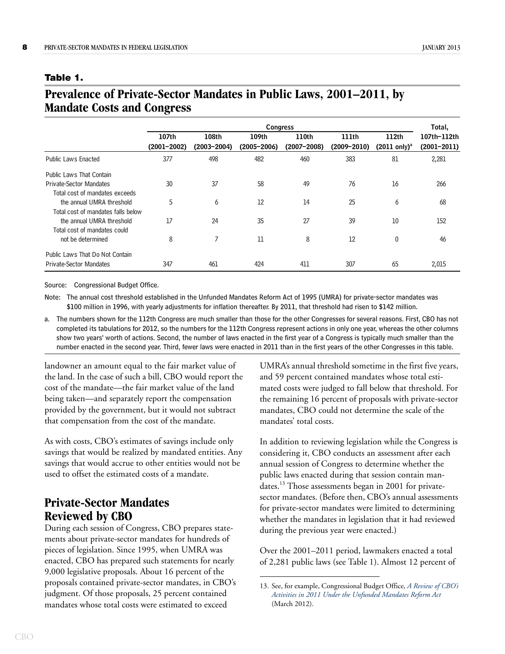#### <span id="page-7-0"></span>**Table 1.**

# **Prevalence of Private-Sector Mandates in Public Laws, 2001–2011, by Mandate Costs and Congress**

|                                    | <b>Congress</b>          |                          |                          |                          |                          |                                  | Total,                         |
|------------------------------------|--------------------------|--------------------------|--------------------------|--------------------------|--------------------------|----------------------------------|--------------------------------|
|                                    | 107th<br>$(2001 - 2002)$ | 108th<br>$(2003 - 2004)$ | 109th<br>$(2005 - 2006)$ | 110th<br>$(2007 - 2008)$ | 111th<br>$(2009 - 2010)$ | 112th<br>$(2011 \text{ only})^a$ | 107th-112th<br>$(2001 - 2011)$ |
| <b>Public Laws Enacted</b>         | 377                      | 498                      | 482                      | 460                      | 383                      | 81                               | 2,281                          |
| <b>Public Laws That Contain</b>    |                          |                          |                          |                          |                          |                                  |                                |
| Private-Sector Mandates            | 30                       | 37                       | 58                       | 49                       | 76                       | 16                               | 266                            |
| Total cost of mandates exceeds     |                          |                          |                          |                          |                          |                                  |                                |
| the annual UMRA threshold          | 5                        | 6                        | 12                       | 14                       | 25                       | 6                                | 68                             |
| Total cost of mandates falls below |                          |                          |                          |                          |                          |                                  |                                |
| the annual UMRA threshold          | 17                       | 24                       | 35                       | 27                       | 39                       | 10                               | 152                            |
| Total cost of mandates could       |                          |                          |                          |                          |                          |                                  |                                |
| not be determined                  | 8                        | 7                        | 11                       | 8                        | 12                       | $\theta$                         | 46                             |
| Public Laws That Do Not Contain    |                          |                          |                          |                          |                          |                                  |                                |
| Private-Sector Mandates            | 347                      | 461                      | 424                      | 411                      | 307                      | 65                               | 2,015                          |

Source: Congressional Budget Office.

Note: The annual cost threshold established in the Unfunded Mandates Reform Act of 1995 (UMRA) for private-sector mandates was \$100 million in 1996, with yearly adjustments for inflation thereafter. By 2011, that threshold had risen to \$142 million.

a. The numbers shown for the 112th Congress are much smaller than those for the other Congresses for several reasons. First, CBO has not completed its tabulations for 2012, so the numbers for the 112th Congress represent actions in only one year, whereas the other columns show two years' worth of actions. Second, the number of laws enacted in the first year of a Congress is typically much smaller than the number enacted in the second year. Third, fewer laws were enacted in 2011 than in the first years of the other Congresses in this table.

landowner an amount equal to the fair market value of the land. In the case of such a bill, CBO would report the cost of the mandate—the fair market value of the land being taken—and separately report the compensation provided by the government, but it would not subtract that compensation from the cost of the mandate.

As with costs, CBO's estimates of savings include only savings that would be realized by mandated entities. Any savings that would accrue to other entities would not be used to offset the estimated costs of a mandate.

# **Private-Sector Mandates Reviewed by CBO**

During each session of Congress, CBO prepares statements about private-sector mandates for hundreds of pieces of legislation. Since 1995, when UMRA was enacted, CBO has prepared such statements for nearly 9,000 legislative proposals. About 16 percent of the proposals contained private-sector mandates, in CBO's judgment. Of those proposals, 25 percent contained mandates whose total costs were estimated to exceed

UMRA's annual threshold sometime in the first five years, and 59 percent contained mandates whose total estimated costs were judged to fall below that threshold. For the remaining 16 percent of proposals with private-sector mandates, CBO could not determine the scale of the mandates' total costs.

In addition to reviewing legislation while the Congress is considering it, CBO conducts an assessment after each annual session of Congress to determine whether the public laws enacted during that session contain mandates.<sup>13</sup> Those assessments began in 2001 for privatesector mandates. (Before then, CBO's annual assessments for private-sector mandates were limited to determining whether the mandates in legislation that it had reviewed during the previous year were enacted.)

Over the 2001–2011 period, lawmakers enacted a total of 2,281 public laws (see [Table 1\)](#page-7-0). Almost 12 percent of

<sup>13.</sup> See, for example, Congressional Budget Office, *[A Review of CBO's](http://www.cbo.gov/publication/43140)  [Activities in 2011 Under the Unfunded Mandates Reform Act](http://www.cbo.gov/publication/43140)* (March 2012).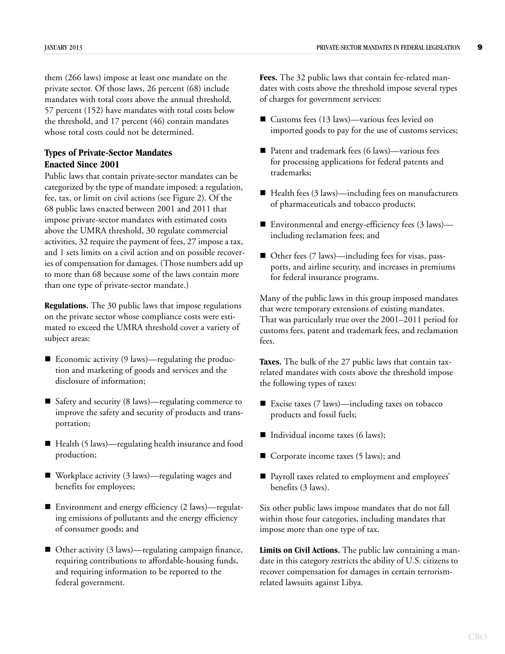them (266 laws) impose at least one mandate on the private sector. Of those laws, 26 percent (68) include mandates with total costs above the annual threshold, 57 percent (152) have mandates with total costs below the threshold, and 17 percent (46) contain mandates whose total costs could not be determined.

## **Types of Private-Sector Mandates Enacted Since 2001**

Public laws that contain private-sector mandates can be categorized by the type of mandate imposed: a regulation, fee, tax, or limit on civil actions (see [Figure 2](#page-9-0)). Of the 68 public laws enacted between 2001 and 2011 that impose private-sector mandates with estimated costs above the UMRA threshold, 30 regulate commercial activities, 32 require the payment of fees, 27 impose a tax, and 1 sets limits on a civil action and on possible recoveries of compensation for damages. (Those numbers add up to more than 68 because some of the laws contain more than one type of private-sector mandate.)

**Regulations.** The 30 public laws that impose regulations on the private sector whose compliance costs were estimated to exceed the UMRA threshold cover a variety of subject areas:

- Economic activity  $(9 \text{ laws})$ —regulating the production and marketing of goods and services and the disclosure of information;
- Safety and security (8 laws)—regulating commerce to improve the safety and security of products and transportation;
- Health (5 laws)—regulating health insurance and food production;
- Workplace activity (3 laws)—regulating wages and benefits for employees;
- Environment and energy efficiency (2 laws)—regulating emissions of pollutants and the energy efficiency of consumer goods; and
- Other activity (3 laws)—regulating campaign finance, requiring contributions to affordable-housing funds, and requiring information to be reported to the federal government.

**Fees.** The 32 public laws that contain fee-related mandates with costs above the threshold impose several types of charges for government services:

- Customs fees (13 laws)—various fees levied on imported goods to pay for the use of customs services;
- Patent and trademark fees (6 laws)—various fees for processing applications for federal patents and trademarks;
- Health fees (3 laws)—including fees on manufacturers of pharmaceuticals and tobacco products;
- Environmental and energy-efficiency fees (3 laws) including reclamation fees; and
- Other fees (7 laws)—including fees for visas, passports, and airline security, and increases in premiums for federal insurance programs.

Many of the public laws in this group imposed mandates that were temporary extensions of existing mandates. That was particularly true over the 2001–2011 period for customs fees, patent and trademark fees, and reclamation fees.

**Taxes.** The bulk of the 27 public laws that contain taxrelated mandates with costs above the threshold impose the following types of taxes:

- Excise taxes (7 laws)—including taxes on tobacco products and fossil fuels;
- Individual income taxes (6 laws);
- Corporate income taxes (5 laws); and
- Payroll taxes related to employment and employees' benefits (3 laws).

Six other public laws impose mandates that do not fall within those four categories, including mandates that impose more than one type of tax.

**Limits on Civil Actions.** The public law containing a mandate in this category restricts the ability of U.S. citizens to recover compensation for damages in certain terrorismrelated lawsuits against Libya.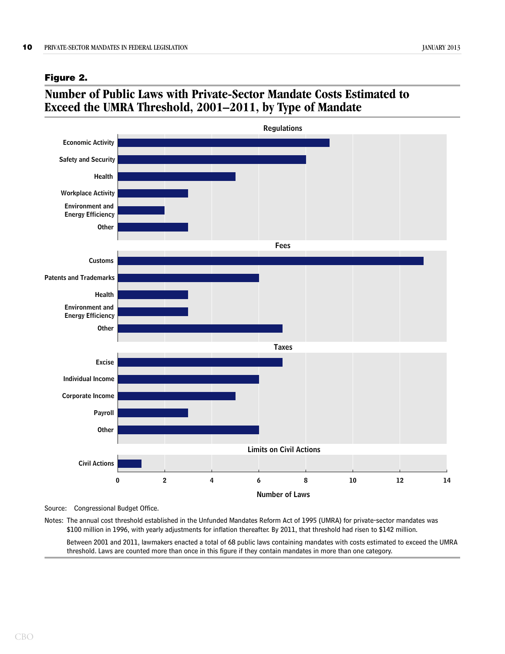#### <span id="page-9-0"></span>**Figure 2.**

# **Number of Public Laws with Private-Sector Mandate Costs Estimated to Exceed the UMRA Threshold, 2001–2011, by Type of Mandate**



Source: Congressional Budget Office.

Notes: The annual cost threshold established in the Unfunded Mandates Reform Act of 1995 (UMRA) for private-sector mandates was \$100 million in 1996, with yearly adjustments for inflation thereafter. By 2011, that threshold had risen to \$142 million.

Between 2001 and 2011, lawmakers enacted a total of 68 public laws containing mandates with costs estimated to exceed the UMRA threshold. Laws are counted more than once in this figure if they contain mandates in more than one category.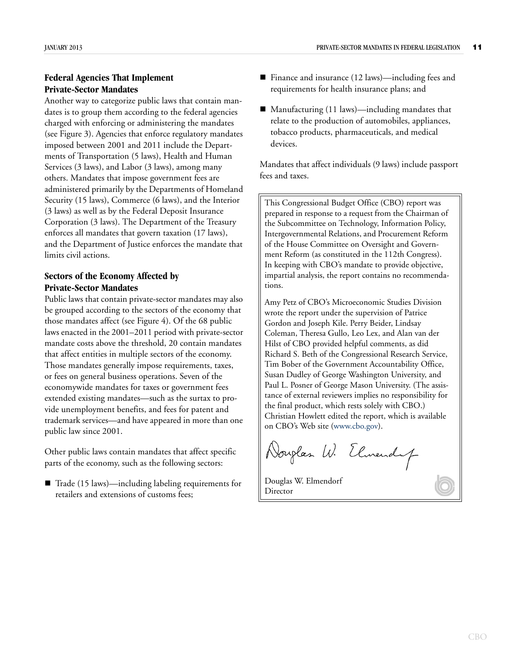## **Federal Agencies That Implement Private-Sector Mandates**

Another way to categorize public laws that contain mandates is to group them according to the federal agencies charged with enforcing or administering the mandates (see [Figure 3](#page-11-0)). Agencies that enforce regulatory mandates imposed between 2001 and 2011 include the Departments of Transportation (5 laws), Health and Human Services (3 laws), and Labor (3 laws), among many others. Mandates that impose government fees are administered primarily by the Departments of Homeland Security (15 laws), Commerce (6 laws), and the Interior (3 laws) as well as by the Federal Deposit Insurance Corporation (3 laws). The Department of the Treasury enforces all mandates that govern taxation (17 laws), and the Department of Justice enforces the mandate that limits civil actions.

## **Sectors of the Economy Affected by Private-Sector Mandates**

Public laws that contain private-sector mandates may also be grouped according to the sectors of the economy that those mandates affect (see [Figure 4](#page-12-0)). Of the 68 public laws enacted in the 2001–2011 period with private-sector mandate costs above the threshold, 20 contain mandates that affect entities in multiple sectors of the economy. Those mandates generally impose requirements, taxes, or fees on general business operations. Seven of the economywide mandates for taxes or government fees extended existing mandates—such as the surtax to provide unemployment benefits, and fees for patent and trademark services—and have appeared in more than one public law since 2001.

Other public laws contain mandates that affect specific parts of the economy, such as the following sectors:

 $\blacksquare$  Trade (15 laws)—including labeling requirements for retailers and extensions of customs fees;

- Finance and insurance (12 laws)—including fees and requirements for health insurance plans; and
- $\blacksquare$  Manufacturing (11 laws)—including mandates that relate to the production of automobiles, appliances, tobacco products, pharmaceuticals, and medical devices.

Mandates that affect individuals (9 laws) include passport fees and taxes.

This Congressional Budget Office (CBO) report was prepared in response to a request from the Chairman of the Subcommittee on Technology, Information Policy, Intergovernmental Relations, and Procurement Reform of the House Committee on Oversight and Government Reform (as constituted in the 112th Congress). In keeping with CBO's mandate to provide objective, impartial analysis, the report contains no recommendations.

Amy Petz of CBO's Microeconomic Studies Division wrote the report under the supervision of Patrice Gordon and Joseph Kile. Perry Beider, Lindsay Coleman, Theresa Gullo, Leo Lex, and Alan van der Hilst of CBO provided helpful comments, as did Richard S. Beth of the Congressional Research Service, Tim Bober of the Government Accountability Office, Susan Dudley of George Washington University, and Paul L. Posner of George Mason University. (The assistance of external reviewers implies no responsibility for the final product, which rests solely with CBO.) Christian Howlett edited the report, which is available on CBO's Web site ([www.cbo.gov](http://www.cbo.gov)).

Norglas W. Elmendy

Douglas W. Elmendorf Director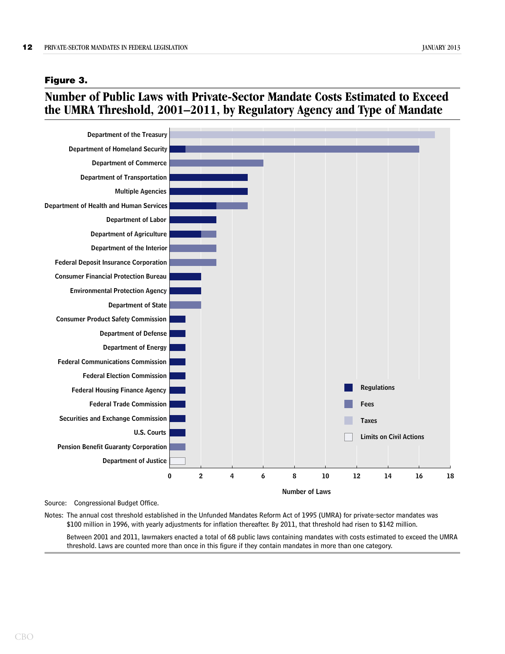#### <span id="page-11-0"></span>**Figure 3.**

# **Number of Public Laws with Private-Sector Mandate Costs Estimated to Exceed the UMRA Threshold, 2001–2011, by Regulatory Agency and Type of Mandate**



Source: Congressional Budget Office.

Notes: The annual cost threshold established in the Unfunded Mandates Reform Act of 1995 (UMRA) for private-sector mandates was \$100 million in 1996, with yearly adjustments for inflation thereafter. By 2011, that threshold had risen to \$142 million.

Between 2001 and 2011, lawmakers enacted a total of 68 public laws containing mandates with costs estimated to exceed the UMRA threshold. Laws are counted more than once in this figure if they contain mandates in more than one category.